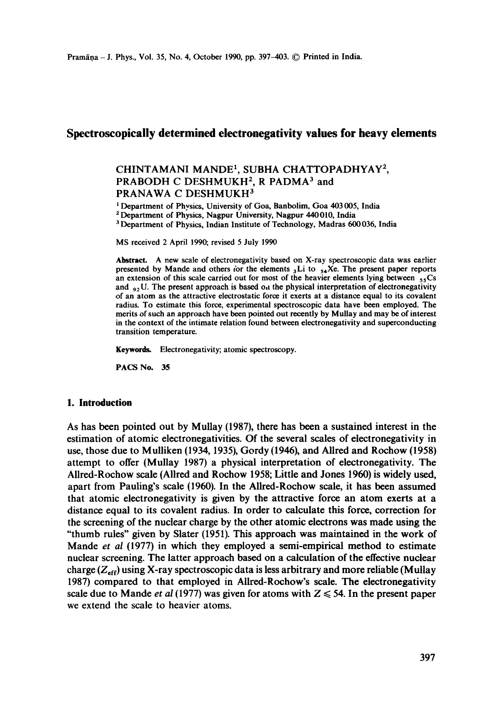# **Spectroscopically determined electronegativity values for heavy elements**

# CHINTAMANI MANDE<sup>1</sup>, SUBHA CHATTOPADHYAY<sup>2</sup>, PRABODH C DESHMUKH<sup>2</sup>, R PADMA<sup>3</sup> and PRANAWA C DESHMUKH<sup>3</sup>

<sup>1</sup> Department of Physics, University of Goa, Banbolim, Goa 403 005, India

2 Department of Physics, Nagpur University, Nagpur 440010, India

<sup>3</sup> Department of Physics, Indian Institute of Technology, Madras 600 036, India

MS received 2 April 1990; revised 5 July 1990

**Abstract.** A new scale of electronegativity based on X-ray spectroscopic data was earlier presented by Mande and others for the elements  $_{3}Li$  to  $_{54}Xe$ . The present paper reports an extension of this scale carried out for most of the heavier elements lying between  $_{55}Cs$ and  $_{92}$ U. The present approach is based on the physical interpretation of electronegativity of an atom as the attractive electrostatic force it exerts at a distance equal to its covalent radius. To estimate this force, experimental spectroscopic data have been employed. The merits of such an approach have been pointed out recently by Mullay and may be of interest in the context of the intimate relation found between electronegativity and superconducting transition temperature.

Keywords. Electronegativity; atomic spectroscopy.

**PACS** No. 35

### **1. Introduction**

As has been pointed out by Mullay (1987), there has been a sustained interest in the estimation of atomic electronegativities. Of the several scales of electronegativity in use, those due to Mulliken (1934, 1935), Gordy (1946), and Allred and Rochow (1958) attempt to offer (Mullay 1987) a physical interpretation of electronegativity. The Allred-Rochow scale (AUred and Rochow 1958; Little and Jones 1960) is widely used, apart from Pauling's scale (1960). In the Allred-Rochow scale, it has been assumed that atomic electronegativity is given by the attractive force an atom exerts at a distance equal to its covalent radius. In order to calculate this force, correction for the screening of the nuclear charge by the other atomic electrons was made using the "thumb rules" given by Slater (1951). This approach was maintained in the work of Mande *et al* (1977) in which they employed a semi-empirical method to estimate nuclear screening. The latter approach based on a calculation of the effective nuclear charge  $(Z_{\text{eff}})$  using X-ray spectroscopic data is less arbitrary and more reliable (Mullay 1987) compared to that employed in Allred-Rochow's scale. The electronegativity scale due to Mande *et al* (1977) was given for atoms with  $Z \le 54$ . In the present paper we extend the scale to heavier atoms.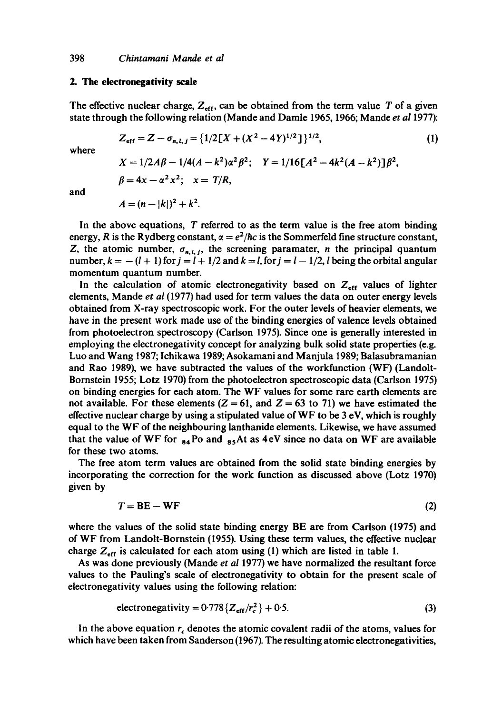## 2. The electronegativity scale

The effective nuclear charge,  $Z_{\text{eff}}$ , can be obtained from the term value T of a given state through the following relation (Mande and Damle 1965, 1966; Mande *et a11977):* 

$$
Z_{\text{eff}} = Z - \sigma_{n,l,j} = \{1/2[X + (X^2 - 4Y)^{1/2}]\}^{1/2},\tag{1}
$$

where

$$
X = 1/2A\beta - 1/4(A - k^2)\alpha^2\beta^2; \quad Y = 1/16[A^2 - 4k^2(A - k^2)]\beta^2,
$$
  

$$
\beta = 4x - \alpha^2x^2; \quad x = T/R,
$$

and

$$
A = (n - |k|)^2 + k^2.
$$

In the above equations, T referred to as the term value is the free atom binding energy, R is the Rydberg constant,  $\alpha = e^2/\hbar c$  is the Sommerfeld fine structure constant, Z, the atomic number,  $\sigma_{n,l,j}$ , the screening paramater, *n* the principal quantum number,  $k = -(l + 1)$  for  $j = l + 1/2$  and  $k = l$ , for  $j = l - 1/2$ , l being the orbital angular momentum quantum number.

In the calculation of atomic electronegativity based on  $Z_{\text{eff}}$  values of lighter elements, Mande *et al* (1977) had used for term values the data on outer energy levels obtained from X-ray spectroscopic work. For the outer levels of heavier elements, we have in the present work made use of the binding energies of valence levels obtained from photoelectron spectroscopy (Carlson 1975). Since one is generally interested in employing the electronegativity concept for analyzing bulk solid state properties (e.g. Luo and Wang 1987; lchikawa 1989; Asokamani and Manjula 1989; Balasubramanian and Rao 1989), we have subtracted the values of the workfunction (WF) (Landolt-Bornstein 1955; Lotz 1970) from the photoelectron spectroscopic data (Carlson 1975) on binding energies for each atom. The WF values for some rare earth elements are not available. For these elements  $(Z = 61$ , and  $Z = 63$  to 71) we have estimated the effective nuclear charge by using a stipulated value of WF to be  $3 \text{ eV}$ , which is roughly equal to the WF of the neighbouring lanthanide elements. Likewise, we have assumed that the value of WF for  $_{84}$ Po and  $_{85}$ At as 4eV since no data on WF are available for these two atoms.

The free atom term values are obtained from the solid state binding energies by incorporating the correction for the work function as discussed above (Lotz 1970) given by

$$
T = BE - WF \tag{2}
$$

where the values of the solid state binding energy BE are from Carlson (1975) and of WF from Landolt-Bornstein (1955). Using these term values, the effective nuclear charge  $Z_{\text{eff}}$  is calculated for each atom using (1) which are listed in table 1.

As was done previously (Mande *et al* 1977) we have normalized the resultant force values to the Pauling's scale of electronegativity to obtain for the present scale of electronegativity values using the following relation:

$$
electronegativity = 0.778 \{Z_{\text{eff}}/r_c^2\} + 0.5. \tag{3}
$$

In the above equation  $r_c$  denotes the atomic covalent radii of the atoms, values for which have been taken from Sanderson (1967). The resulting atomic electronegativities,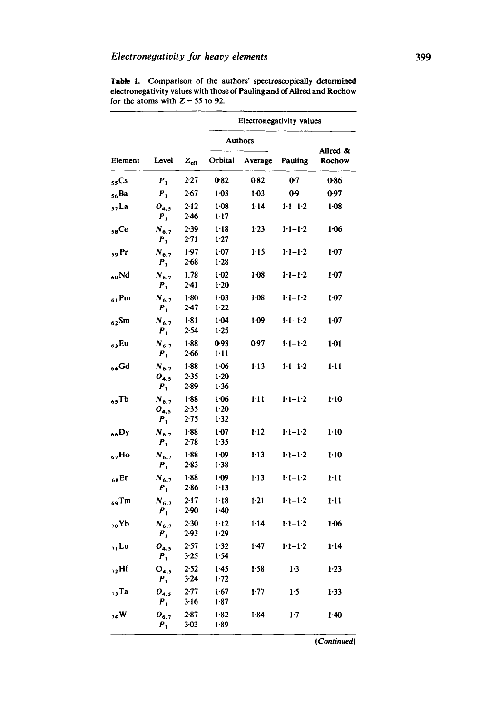|                  |                                   |                            | Electronegativity values       |          |                 |                    |
|------------------|-----------------------------------|----------------------------|--------------------------------|----------|-----------------|--------------------|
|                  |                                   |                            | <b>Authors</b>                 |          |                 |                    |
| Element          | Level                             | $Z_{\rm eff}$              | Orbital                        | Average  | Pauling         | Allred &<br>Rochow |
| 55 <sub>cs</sub> | $P_1$                             | 2.27                       | 0.82                           | 0.82     | 0.7             | 0.86               |
| <sub>56</sub> Ba | $P_{1}$                           | $2-67$                     | $1 - 03$                       | $1-0.3$  | 0-9             | 0.97               |
| $57$ La          | $O_{4,5}$<br>$P_1$                | 2.12<br>$2-46$             | $1 - 08$<br>$1-17$             | $1 - 14$ | $1 - 1 - 1 - 2$ | $1 - 08$           |
| 58Ce             | $N_{6,7}$<br>$P_1$                | 2.39<br>$2 - 71$           | $1 - 18$<br>$1 - 27$           | $1-23$   | $1 - 1 - 2$     | $1-06$             |
| 59 Pr            | $N_{6,7}$<br>$P_{1}$              | 1.97<br>$2 - 68$           | 1.07<br>$1-28$                 | $1 - 15$ | $1 - 1 - 2$     | $1-07$             |
| 60Nd             | $N_{6,7}$<br>$P_1$                | 1.78<br>$2 - 41$           | 1 02<br>$1 - 20$               | $1-08$   | $1 - 1 - 2$     | 1.07               |
| $_{61}$ Pm       | $N_{6,7}$<br>$P_{1}$              | $1 - 80$<br>$2 - 47$       | $1-03$<br>1.22                 | 1.08     | $1 - 1 - 2$     | 1.07               |
| $62$ Sm          | $N_{6,7}$<br>$P_{1}$              | $1 - 81$<br>2.54           | $1 - 04$<br>$1-25$             | $1-09$   | $1 - 1 - 2$     | $1-07$             |
| <sub>63</sub> Eu | $N_{6,7}$<br>$P_{1}$              | $1 - 88$<br>$2 - 66$       | 0.93<br>$1 - 11$               | 0.97     | $1 - 1 - 2$     | 1.01               |
| $64$ Gd          | $N_{6,7}$<br>$O_{4,5}$<br>$P_{1}$ | $1 - 88$<br>2.35<br>$2-89$ | $1-06$<br>$1-20$<br>1.36       | 1.13     | $1-1-2$         | $1 - 11$           |
| $65$ Tb          | $N_{6,7}$<br>$O_{4,5}$<br>$P_{1}$ | $1 - 88$<br>2.35<br>2.75   | $1 - 06$<br>$1-20$<br>$1 - 32$ | $1-11$   | $1-1-2$         | $1-10$             |
| <sub>66</sub> Dy | $N_{6,7}$<br>$P_{1}$              | $1-88$<br>$2 - 78$         | 1 0 7<br>1.35                  | $1-12$   | $1 - 1 - 2$     | $1-10$             |
| $67H$ o          | $N_{6,7}$<br>$P_{1}$              | $1-88$<br>2.83             | $1 - 09$<br>1:38               | $1 - 13$ | $1-1-1-2$       | $1 - 10$           |
| $68$ Er          | $N_{6.7}$<br>$P_{1}$              | 1.88<br>286                | 1.09<br>$1 - 13$               | $1 - 13$ | $1 - 1 - 1 - 2$ | $1 - 11$           |
| $_{69}$ Tm       | $N_{6,7}$<br>$P_{1}$              | 2.17<br>$2-90$             | $1 - 18$<br>$1-40$             | $1-21$   | $1 - 1 - 2$     | $1 - 11$           |
| <sub>70</sub> Yb | $N_{6,7}$<br>$P_1$                | 2.30<br>2.93               | $1 - 12$<br>1.29               | $1 - 14$ | $1 - 1 - 1 - 2$ | 1-06               |
| 7, Lu            | $O_{4,5}$<br>$P_1$                | 2.57<br>3.25               | 1.32<br>1.54                   | $1-47$   | $1 - 1 - 1 - 2$ | $1 - 14$           |
| $_{72}$ Hf       | $O_{4.5}$<br>$P_{1}$              | 2.52<br>3.24               | $1-45$<br>$1 - 72$             | $1 - 58$ | 1.3             | 1.23               |
| $73$ Ta          | $O_{4,5}$                         | 2-77                       | 1.67                           | 1.77     | 1.5             | $1 - 33$           |
| 74W              | $P_1$<br>$O_{6,2}$<br>$P_1$       | 3.16<br>2.87<br>$3-03$     | 1.87<br>$1 - 82$<br>$1-89$     | $1 - 84$ | $1-7$           | $1 - 40$           |

Table 1. Comparison of the authors' spectroscopically determined electronegativity values with those of Pauling and of Allred and Roehow for the atoms with  $Z = 55$  to 92.

*(Continued)*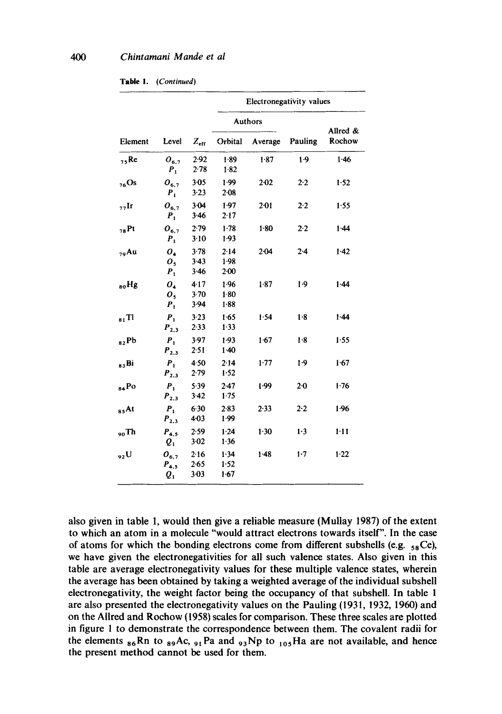| Table 1. | (Continued) |
|----------|-------------|
|----------|-------------|

| Element          | Level                                              | $Z_{\text{eff}}$               | Electronegativity values       |          |                |                    |
|------------------|----------------------------------------------------|--------------------------------|--------------------------------|----------|----------------|--------------------|
|                  |                                                    |                                | <b>Authors</b>                 |          |                |                    |
|                  |                                                    |                                | Orbital                        | Average  | Pauling        | Allred &<br>Rochow |
| $75$ Re          | $O_{6.7}$<br>$P_{1}$                               | 2.92<br>2.78                   | 1.89<br>$1-82$                 | 1.87     | 1.9            | 1.46               |
| $76$ Os          | $O_{6.7}$<br>$P_{1}$                               | $3 - 05$<br>$3 - 23$           | 1.99<br>$2-08$                 | $2 - 02$ | 2.2            | 1.52               |
| $77$ Ir          | $O_{6,7}$<br>$P_{1}$                               | 3-04<br>3.46                   | 1.97<br>2.17                   | $2 - 01$ | 2.2            | 1.55               |
| $78$ Pt          | $0_{6.7}$<br>$P_{1}$                               | 2.79<br>3.10                   | 1.78<br>$1-93$                 | 1.80     | 2.2            | $1-44$             |
| $79$ Au          | O <sub>4</sub><br>O <sub>5</sub><br>$P_1$          | 3.78<br>3.43<br>$3-46$         | $2 - 14$<br>$1-98$<br>$2 - 00$ | $2 - 04$ | $2-4$          | $1-42$             |
| <sub>80</sub> Hg | $O_4$<br>$\bm{o}_{\bm{s}}$<br>$P_1$                | $4 - 17$<br>3.70<br>3.94       | 1.96<br>$1-80$<br>1.88         | 1.87     | $1-9$          | 1.44               |
| $_{81}$ Tl       | $P_1$<br>$P_{2,3}$                                 | $3 - 23$<br>2.33               | 1.65<br>$1-33$                 | 1.54     | 1.8            | 1.44               |
| $_{82}$ Pb       | $P_{1}$<br>$P_{2,3}$                               | $3-97$<br>$2 - 51$             | 1.93<br>$1-40$                 | 1.67     | 1.8            | 1.55               |
| 83Bi             | $P_1$<br>$P_{2,3}$                                 | 4.50<br>$2 - 79$               | 2.14<br>1.52                   | 1.77     | $1-9$          | 1.67               |
| 84Po             | $P_{1}$<br>$P_{2,3}$                               | 5.39<br>$3-42$                 | $2 - 47$<br>1.75               | 1.99     | 2 <sub>0</sub> | 1.76               |
| <sub>85</sub> At | $P_{1}$<br>$P_{2,3}$                               | 6.30<br>4-03                   | 2.83<br>1.99                   | $2 - 33$ | $2-2$          | 1.96               |
| $_{90}Th$        | $P_{4,5}$<br>$Q_1$                                 | 2.59<br>$3-02$                 | $1 - 24$<br>1.36               | 1.30     | 1.3            | $1 - 11$           |
| <sub>92</sub> U  | $O_{6,7}$<br>$P_{4.5}$<br>$\boldsymbol{\varrho}_1$ | $2-16$<br>$2 - 65$<br>$3 - 03$ | 1.34<br>1.52<br>1.67           | 1.48     | $1-7$          | 1.22               |

**also given in table 1, would then give a reliable measure (Mullay 1987) of the extent to which an atom in a molecule "would attract electrons towards itself". In the case**  of atoms for which the bonding electrons come from different subshells (e.g.  $\epsilon$ <sub>8</sub>Ce), **we have given the electronegativities for all such valence states. Also given in this table are average electronegativity values for these multiple valence states, wherein the average has been obtained by taking a weighted average of the individual subshell electronegativity, the weight factor being the occupancy of that subshell. In table 1**  are also presented the electronegativity values on the Pauling (1931, 1932, 1960) and **on the Allred and Rochow (1958) scales for comparison. These three scales are plotted in figure 1 to demonstrate the correspondence between them. The covalent radii for**  the elements  ${}_{86}$ Rn to  ${}_{89}$ Ac,  ${}_{91}$ Pa and  ${}_{93}$ Np to  ${}_{105}$ Ha are not available, and hence **the present method cannot be used for them.**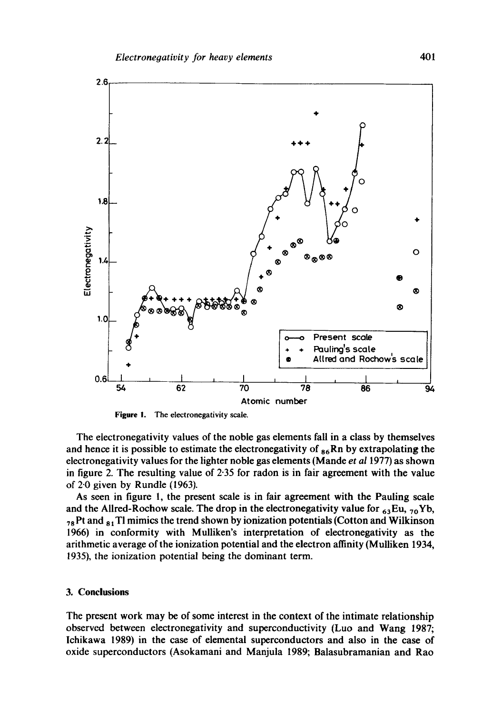

**Figure** I. The electronegativity scale.

The electronegativity values of the noble gas elements fall in a class by themselves and hence it is possible to estimate the electronegativity of  $_{86}Rn$  by extrapolating the electronegativity values for the lighter noble gas elements (Mande *et al* 1977) as shown in figure 2. The resulting value of 2.35 for radon is in fair agreement with the value of 2-0 given by Rundle (1963).

As seen in figure 1, the present scale is in fair agreement with the Pauling scale and the Allred-Rochow scale. The drop in the electronegativity value for  $_{63}Eu$ ,  $_{70}Yb$ ,  $_{78}$  Pt and  $_{81}$  Tl mimics the trend shown by ionization potentials (Cotton and Wilkinson 1966) in conformity with Mulliken's interpretation of electronegativity as the arithmetic average of the ionization potential and the electron affinity (Mulliken 1934, 1935), the ionization potential being the dominant term.

#### **3. Conclusions**

The present work may be of some interest in the context of the intimate relationship observed between clectronegativity and superconductivity (Luo and Wang 1987; lchikawa 1989) in the case of elemental superconductors and also in the case of oxide superconductors (Asokamani and Manjula 1989; Balasuhramanian and Rao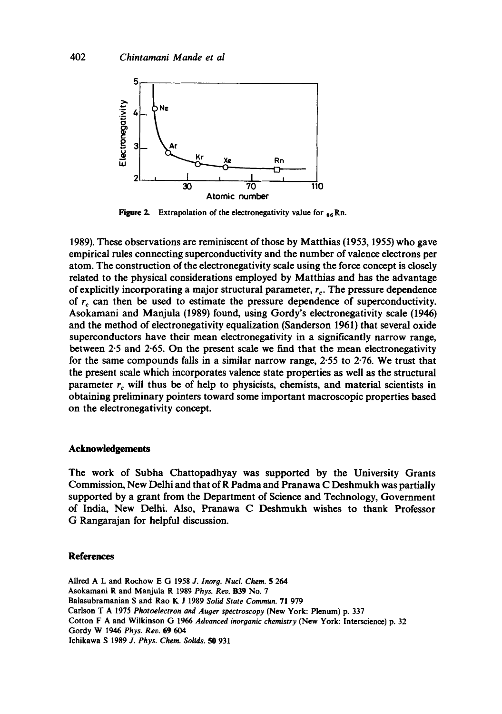

Figure 2. Extrapolation of the electronegativity value for  $_{86}$  Rn.

1989). These observations are reminiscent of those by Matthias (1953, 1955) who gave empirical rules connecting superconductivity and the number of valence electrons per atom. The construction of the electronegativity scale using the force concept is closely related to the physical considerations employed by Matthias and has the advantage of explicitly incorporating a major structural parameter,  $r<sub>c</sub>$ . The pressure dependence of  $r_c$  can then be used to estimate the pressure dependence of superconductivity. Asokamani and Manjula (1989) found, using Gordy's electronegativity scale (1946) and the method of electronegativity equalization (Sanderson 1961) that several oxide superconductors have their mean electronegativity in a significantly narrow range, between 2-5 and 2-65. On the present scale we find that the mean electronegativity for the same compounds falls in a similar narrow range, 2-55 to 2.76. We trust that the present scale which incorporates valence state properties as well as the structural parameter  $r_c$  will thus be of help to physicists, chemists, and material scientists in obtaining preliminary pointers toward some important macroscopic properties based on the electronegativity concept.

## **Acknowledgements**

The work of Subha Chattopadhyay was supported by the University Grants Commission, New Delhi and that of R Padma and Pranawa C Deshmukh was partially supported by a grant from the Department of Science and Technology, Government of India, New Delhi. Also, Pranawa C Deshmukh wishes to thank Professor G Rangarajan for helpful discussion.

#### **References**

Allred A L and Rochow E G 1958 *J. Inorg. Nucl. Chem. 5 264*  Asokamani R and Manju|a R 1989 *Phys.* Rev. B39 No. 7 Balasubramanian S and Rao K J 1989 *Solid State Commun.* 71 979 Carlson T A 1975 *Photoelectron and Auger spectroscopy* (New York: Plenum) p. 337 Cotton F A and Wilkinson G 1966 *Advanced inorganic chemistry* (New York: lnterscience) p. 32 Gordy W 1946 *Phys. Rev.* 69 604 lchikawa S 1989 *J. Phys. Chem. Solids. 50* 931